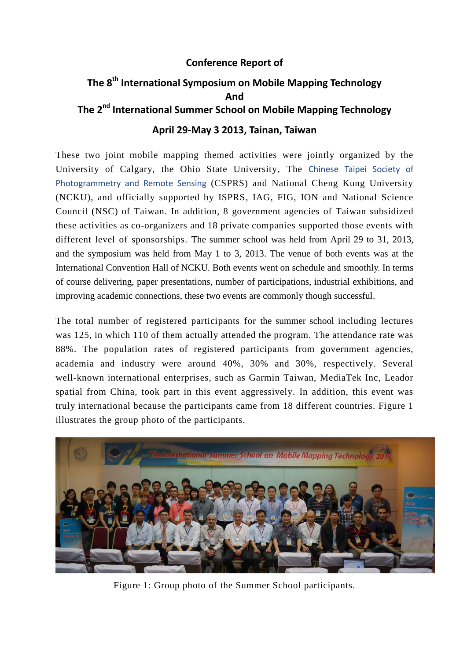## **Conference Report of**

## **The 8 th International Symposium on Mobile Mapping Technology And The 2<sup>nd</sup> International Summer School on Mobile Mapping Technology April 29-May 3 2013, Tainan, Taiwan**

These two joint mobile mapping themed activities were jointly organized by the University of Calgary, the Ohio State University, The Chinese Taipei Society of Photogrammetry and Remote Sensing (CSPRS) and National Cheng Kung University (NCKU), and officially supported by ISPRS, IAG, FIG, ION and National Science Council (NSC) of Taiwan. In addition, 8 government agencies of Taiwan subsidized these activities as co-organizers and 18 private companies supported those events with different level of sponsorships. The summer school was held from April 29 to 31, 2013, and the symposium was held from May 1 to 3, 2013. The venue of both events was at the International Convention Hall of NCKU. Both events went on schedule and smoothly. In terms of course delivering, paper presentations, number of participations, industrial exhibitions, and improving academic connections, these two events are commonly though successful.

The total number of registered participants for the summer school including lectures was 125, in which 110 of them actually attended the program. The attendance rate was 88%. The population rates of registered participants from government agencies, academia and industry were around 40%, 30% and 30%, respectively. Several well-known international enterprises, such as Garmin Taiwan, MediaTek Inc, Leador spatial from China, took part in this event aggressively. In addition, this event was truly international because the participants came from 18 different countries. Figure 1 illustrates the group photo of the participants.



Figure 1: Group photo of the Summer School participants.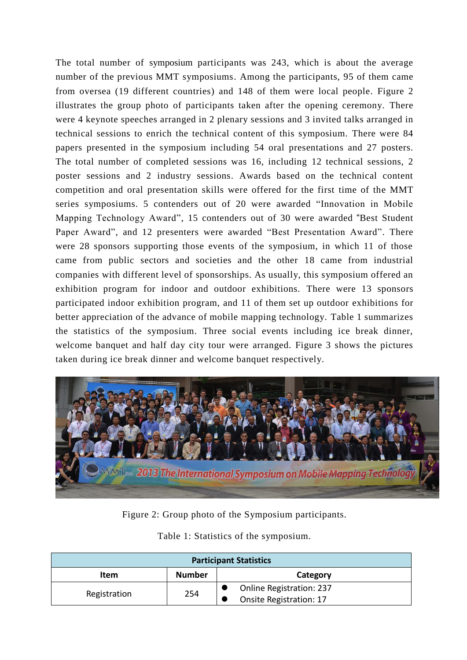The total number of symposium participants was 243, which is about the average number of the previous MMT symposiums. Among the participants, 95 of them came from oversea (19 different countries) and 148 of them were local people. Figure 2 illustrates the group photo of participants taken after the opening ceremony. There were 4 keynote speeches arranged in 2 plenary sessions and 3 invited talks arranged in technical sessions to enrich the technical content of this symposium. There were 84 papers presented in the symposium including 54 oral presentations and 27 posters. The total number of completed sessions was 16, including 12 technical sessions, 2 poster sessions and 2 industry sessions. Awards based on the technical content competition and oral presentation skills were offered for the first time of the MMT series symposiums. 5 contenders out of 20 were awarded "Innovation in Mobile Mapping Technology Award", 15 contenders out of 30 were awarded "Best Student Paper Award", and 12 presenters were awarded "Best Presentation Award". There were 28 sponsors supporting those events of the symposium, in which 11 of those came from public sectors and societies and the other 18 came from industrial companies with different level of sponsorships. As usually, this symposium offered an exhibition program for indoor and outdoor exhibitions. There were 13 sponsors participated indoor exhibition program, and 11 of them set up outdoor exhibitions for better appreciation of the advance of mobile mapping technology. Table 1 summarizes the statistics of the symposium. Three social events including ice break dinner, welcome banquet and half day city tour were arranged. Figure 3 shows the pictures taken during ice break dinner and welcome banquet respectively.



Figure 2: Group photo of the Symposium participants.

|  |  |  |  |  | Table 1: Statistics of the symposium. |
|--|--|--|--|--|---------------------------------------|
|--|--|--|--|--|---------------------------------------|

| <b>Participant Statistics</b> |               |                                 |  |  |  |  |
|-------------------------------|---------------|---------------------------------|--|--|--|--|
| Item                          | <b>Number</b> | Category                        |  |  |  |  |
| Registration                  | 254           | <b>Online Registration: 237</b> |  |  |  |  |
|                               |               | <b>Onsite Registration: 17</b>  |  |  |  |  |